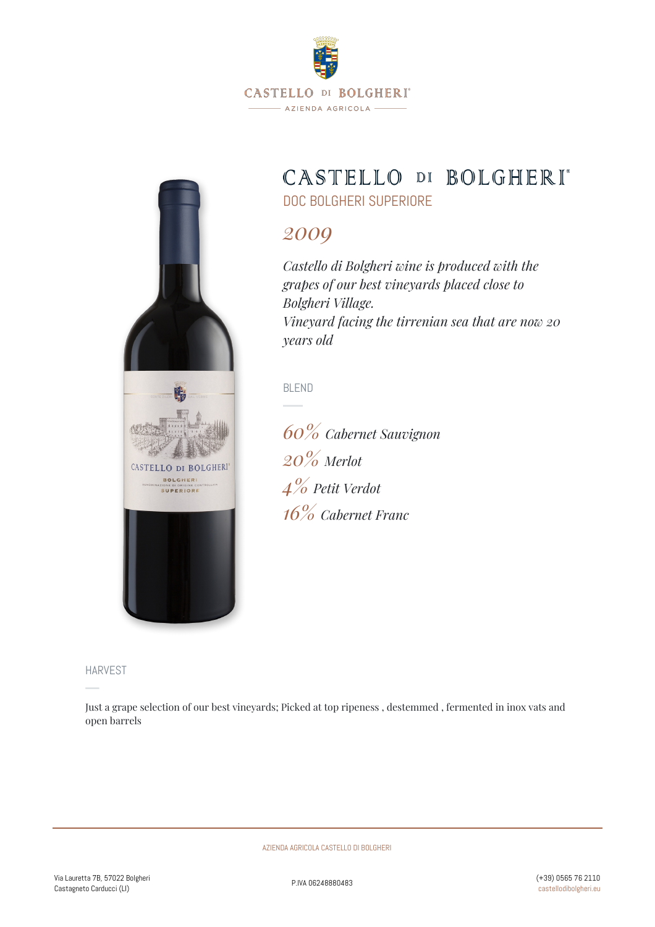

# CASTELLO DI BOLGHERI\*

DOC BOLGHERI SUPERIORE

# *2009*

*Castello di Bolgheri wine is produced with the grapes of our best vineyards placed close to Bolgheri Village. Vineyard facing the tirrenian sea that are now 20 years old*

BLEND

*60% Cabernet Sauvignon 20% Merlot 4% Petit Verdot 16% Cabernet Franc*

HARVEST

CASTELLO DI BOLGHERI **BOLGHERI SUPERIORE** 

Just a grape selection of our best vineyards; Picked at top ripeness , destemmed , fermented in inox vats and open barrels

AZIENDA AGRICOLA CASTELLO DI BOLGHERI